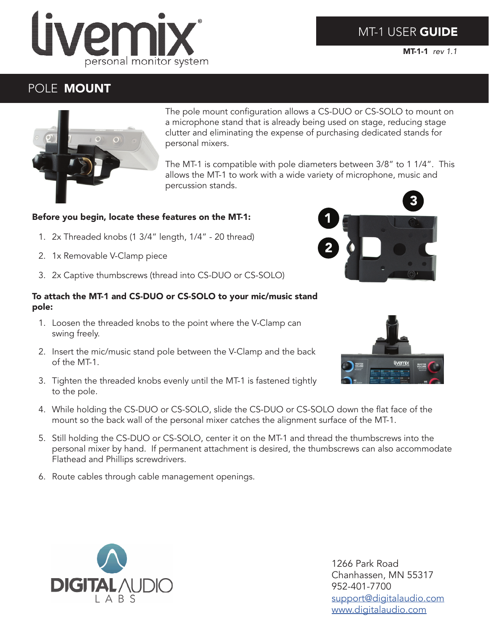## **MT-1 USER GUIDE**

MT-1-1 *rev 1.1*



# POLE MOUNT



The pole mount configuration allows a CS-DUO or CS-SOLO to mount on a microphone stand that is already being used on stage, reducing stage clutter and eliminating the expense of purchasing dedicated stands for personal mixers.

The MT-1 is compatible with pole diameters between 3/8" to 1 1/4". This allows the MT-1 to work with a wide variety of microphone, music and percussion stands.

## Before you begin, locate these features on the MT-1:

- 1. 2x Threaded knobs (1 3/4" length, 1/4" 20 thread)
- 2. 1x Removable V-Clamp piece
- 3. 2x Captive thumbscrews (thread into CS-DUO or CS-SOLO)

#### To attach the MT-1 and CS-DUO or CS-SOLO to your mic/music stand pole:

- 1. Loosen the threaded knobs to the point where the V-Clamp can swing freely.
- 2. Insert the mic/music stand pole between the V-Clamp and the back of the MT-1.
- 3. Tighten the threaded knobs evenly until the MT-1 is fastened tightly to the pole.
- 4. While holding the CS-DUO or CS-SOLO, slide the CS-DUO or CS-SOLO down the flat face of the mount so the back wall of the personal mixer catches the alignment surface of the MT-1.
- 5. Still holding the CS-DUO or CS-SOLO, center it on the MT-1 and thread the thumbscrews into the personal mixer by hand. If permanent attachment is desired, the thumbscrews can also accommodate Flathead and Phillips screwdrivers.
- 6. Route cables through cable management openings.



1266 Park Road Chanhassen, MN 55317 952-401-7700 support@digitalaudio.com www.digitalaudio.com